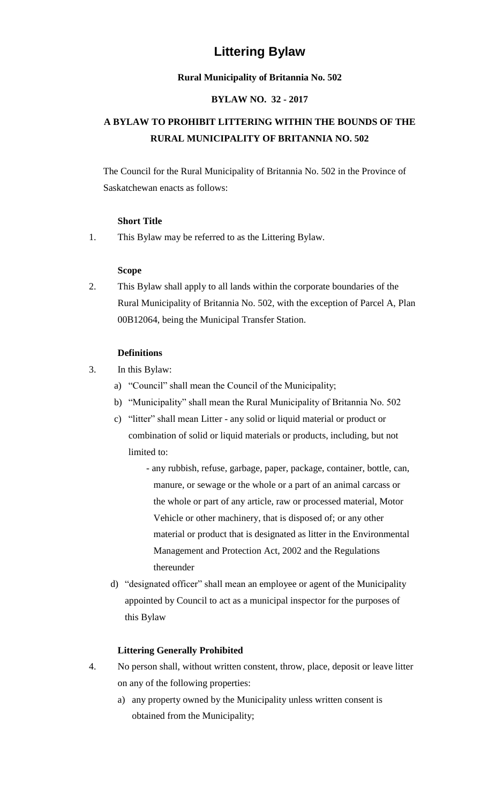# **Littering Bylaw**

#### **Rural Municipality of Britannia No. 502**

#### **BYLAW NO. 32 - 2017**

## **A BYLAW TO PROHIBIT LITTERING WITHIN THE BOUNDS OF THE RURAL MUNICIPALITY OF BRITANNIA NO. 502**

The Council for the Rural Municipality of Britannia No. 502 in the Province of Saskatchewan enacts as follows:

## **Short Title**

1. This Bylaw may be referred to as the Littering Bylaw.

## **Scope**

2. This Bylaw shall apply to all lands within the corporate boundaries of the Rural Municipality of Britannia No. 502, with the exception of Parcel A, Plan 00B12064, being the Municipal Transfer Station.

## **Definitions**

- 3. In this Bylaw:
	- a) "Council" shall mean the Council of the Municipality;
	- b) "Municipality" shall mean the Rural Municipality of Britannia No. 502
	- c) "litter" shall mean Litter any solid or liquid material or product or combination of solid or liquid materials or products, including, but not limited to:
		- any rubbish, refuse, garbage, paper, package, container, bottle, can, manure, or sewage or the whole or a part of an animal carcass or the whole or part of any article, raw or processed material, Motor Vehicle or other machinery, that is disposed of; or any other material or product that is designated as litter in the Environmental Management and Protection Act, 2002 and the Regulations thereunder
	- d) "designated officer" shall mean an employee or agent of the Municipality appointed by Council to act as a municipal inspector for the purposes of this Bylaw

## **Littering Generally Prohibited**

- 4. No person shall, without written constent, throw, place, deposit or leave litter on any of the following properties:
	- a) any property owned by the Municipality unless written consent is obtained from the Municipality;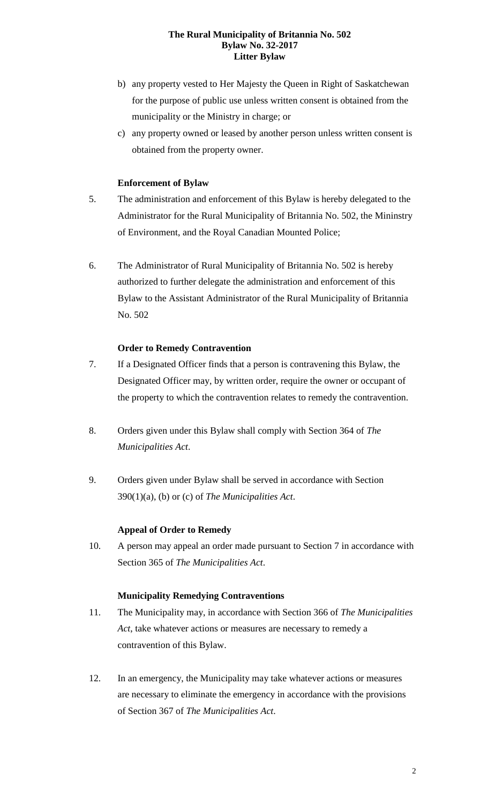#### **The Rural Municipality of Britannia No. 502 Bylaw No. 32-2017 Litter Bylaw**

- b) any property vested to Her Majesty the Queen in Right of Saskatchewan for the purpose of public use unless written consent is obtained from the municipality or the Ministry in charge; or
- c) any property owned or leased by another person unless written consent is obtained from the property owner.

## **Enforcement of Bylaw**

- 5. The administration and enforcement of this Bylaw is hereby delegated to the Administrator for the Rural Municipality of Britannia No. 502, the Mininstry of Environment, and the Royal Canadian Mounted Police;
- 6. The Administrator of Rural Municipality of Britannia No. 502 is hereby authorized to further delegate the administration and enforcement of this Bylaw to the Assistant Administrator of the Rural Municipality of Britannia No. 502

#### **Order to Remedy Contravention**

- 7. If a Designated Officer finds that a person is contravening this Bylaw, the Designated Officer may, by written order, require the owner or occupant of the property to which the contravention relates to remedy the contravention.
- 8. Orders given under this Bylaw shall comply with Section 364 of *The Municipalities Act*.
- 9. Orders given under Bylaw shall be served in accordance with Section 390(1)(a), (b) or (c) of *The Municipalities Act*.

#### **Appeal of Order to Remedy**

10. A person may appeal an order made pursuant to Section 7 in accordance with Section 365 of *The Municipalities Act*.

#### **Municipality Remedying Contraventions**

- 11. The Municipality may, in accordance with Section 366 of *The Municipalities Act*, take whatever actions or measures are necessary to remedy a contravention of this Bylaw.
- 12. In an emergency, the Municipality may take whatever actions or measures are necessary to eliminate the emergency in accordance with the provisions of Section 367 of *The Municipalities Act*.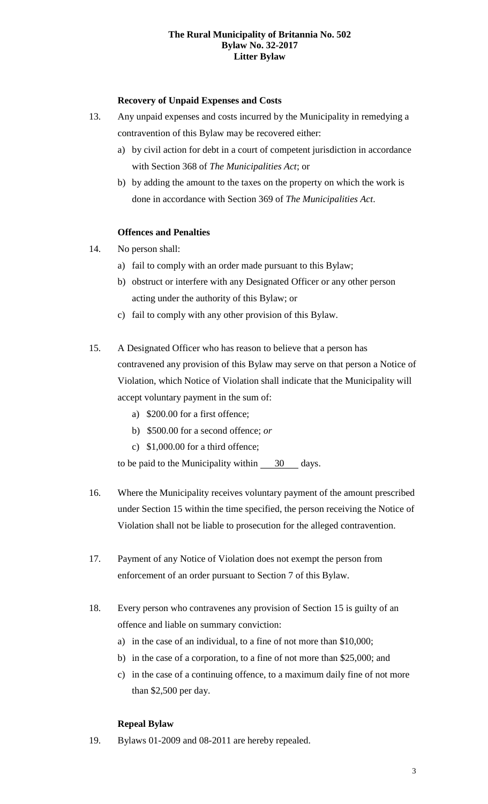#### **The Rural Municipality of Britannia No. 502 Bylaw No. 32-2017 Litter Bylaw**

## **Recovery of Unpaid Expenses and Costs**

- 13. Any unpaid expenses and costs incurred by the Municipality in remedying a contravention of this Bylaw may be recovered either:
	- a) by civil action for debt in a court of competent jurisdiction in accordance with Section 368 of *The Municipalities Act*; or
	- b) by adding the amount to the taxes on the property on which the work is done in accordance with Section 369 of *The Municipalities Act*.

## **Offences and Penalties**

- 14. No person shall:
	- a) fail to comply with an order made pursuant to this Bylaw;
	- b) obstruct or interfere with any Designated Officer or any other person acting under the authority of this Bylaw; or
	- c) fail to comply with any other provision of this Bylaw.
- 15. A Designated Officer who has reason to believe that a person has contravened any provision of this Bylaw may serve on that person a Notice of Violation, which Notice of Violation shall indicate that the Municipality will accept voluntary payment in the sum of:
	- a) \$200.00 for a first offence;
	- b) \$500.00 for a second offence; *or*
	- c) \$1,000.00 for a third offence;

to be paid to the Municipality within 30 days.

- 16. Where the Municipality receives voluntary payment of the amount prescribed under Section 15 within the time specified, the person receiving the Notice of Violation shall not be liable to prosecution for the alleged contravention.
- 17. Payment of any Notice of Violation does not exempt the person from enforcement of an order pursuant to Section 7 of this Bylaw.
- 18. Every person who contravenes any provision of Section 15 is guilty of an offence and liable on summary conviction:
	- a) in the case of an individual, to a fine of not more than \$10,000;
	- b) in the case of a corporation, to a fine of not more than \$25,000; and
	- c) in the case of a continuing offence, to a maximum daily fine of not more than \$2,500 per day.

## **Repeal Bylaw**

19. Bylaws 01-2009 and 08-2011 are hereby repealed.